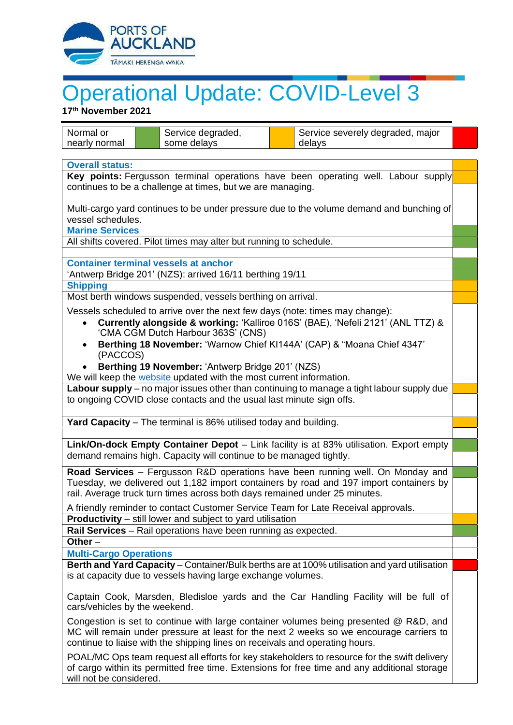

## Operational Update: COVID-Level 3

**17 th November 2021**

| Normal or                                                                                                                                                                                                                                                        | Service degraded, | Service severely degraded, major |  |
|------------------------------------------------------------------------------------------------------------------------------------------------------------------------------------------------------------------------------------------------------------------|-------------------|----------------------------------|--|
| nearly normal                                                                                                                                                                                                                                                    | some delays       | delays                           |  |
| <b>Overall status:</b>                                                                                                                                                                                                                                           |                   |                                  |  |
| Key points: Fergusson terminal operations have been operating well. Labour supply                                                                                                                                                                                |                   |                                  |  |
| continues to be a challenge at times, but we are managing.                                                                                                                                                                                                       |                   |                                  |  |
| Multi-cargo yard continues to be under pressure due to the volume demand and bunching of<br>vessel schedules.                                                                                                                                                    |                   |                                  |  |
| <b>Marine Services</b>                                                                                                                                                                                                                                           |                   |                                  |  |
| All shifts covered. Pilot times may alter but running to schedule.                                                                                                                                                                                               |                   |                                  |  |
| <b>Container terminal vessels at anchor</b>                                                                                                                                                                                                                      |                   |                                  |  |
| 'Antwerp Bridge 201' (NZS): arrived 16/11 berthing 19/11                                                                                                                                                                                                         |                   |                                  |  |
|                                                                                                                                                                                                                                                                  | <b>Shipping</b>   |                                  |  |
| Most berth windows suspended, vessels berthing on arrival.                                                                                                                                                                                                       |                   |                                  |  |
| Vessels scheduled to arrive over the next few days (note: times may change):                                                                                                                                                                                     |                   |                                  |  |
| Currently alongside & working: 'Kalliroe 016S' (BAE), 'Nefeli 2121' (ANL TTZ) &<br>$\bullet$                                                                                                                                                                     |                   |                                  |  |
| 'CMA CGM Dutch Harbour 363S' (CNS)                                                                                                                                                                                                                               |                   |                                  |  |
| Berthing 18 November: 'Warnow Chief KI144A' (CAP) & "Moana Chief 4347'<br>(PACCOS)                                                                                                                                                                               |                   |                                  |  |
| Berthing 19 November: 'Antwerp Bridge 201' (NZS)                                                                                                                                                                                                                 |                   |                                  |  |
| We will keep the website updated with the most current information.                                                                                                                                                                                              |                   |                                  |  |
| Labour supply – no major issues other than continuing to manage a tight labour supply due                                                                                                                                                                        |                   |                                  |  |
| to ongoing COVID close contacts and the usual last minute sign offs.                                                                                                                                                                                             |                   |                                  |  |
|                                                                                                                                                                                                                                                                  |                   |                                  |  |
| Yard Capacity - The terminal is 86% utilised today and building.                                                                                                                                                                                                 |                   |                                  |  |
| Link/On-dock Empty Container Depot - Link facility is at 83% utilisation. Export empty                                                                                                                                                                           |                   |                                  |  |
| demand remains high. Capacity will continue to be managed tightly.                                                                                                                                                                                               |                   |                                  |  |
|                                                                                                                                                                                                                                                                  |                   |                                  |  |
| Road Services - Fergusson R&D operations have been running well. On Monday and<br>Tuesday, we delivered out 1,182 import containers by road and 197 import containers by                                                                                         |                   |                                  |  |
| rail. Average truck turn times across both days remained under 25 minutes.                                                                                                                                                                                       |                   |                                  |  |
| A friendly reminder to contact Customer Service Team for Late Receival approvals.                                                                                                                                                                                |                   |                                  |  |
| <b>Productivity</b> – still lower and subject to yard utilisation                                                                                                                                                                                                |                   |                                  |  |
| Rail Services - Rail operations have been running as expected.                                                                                                                                                                                                   |                   |                                  |  |
| Other $-$                                                                                                                                                                                                                                                        |                   |                                  |  |
| <b>Multi-Cargo Operations</b>                                                                                                                                                                                                                                    |                   |                                  |  |
| Berth and Yard Capacity - Container/Bulk berths are at 100% utilisation and yard utilisation<br>is at capacity due to vessels having large exchange volumes.                                                                                                     |                   |                                  |  |
| Captain Cook, Marsden, Bledisloe yards and the Car Handling Facility will be full of<br>cars/vehicles by the weekend.                                                                                                                                            |                   |                                  |  |
| Congestion is set to continue with large container volumes being presented @ R&D, and<br>MC will remain under pressure at least for the next 2 weeks so we encourage carriers to<br>continue to liaise with the shipping lines on receivals and operating hours. |                   |                                  |  |
| POAL/MC Ops team request all efforts for key stakeholders to resource for the swift delivery<br>of cargo within its permitted free time. Extensions for free time and any additional storage<br>will not be considered.                                          |                   |                                  |  |